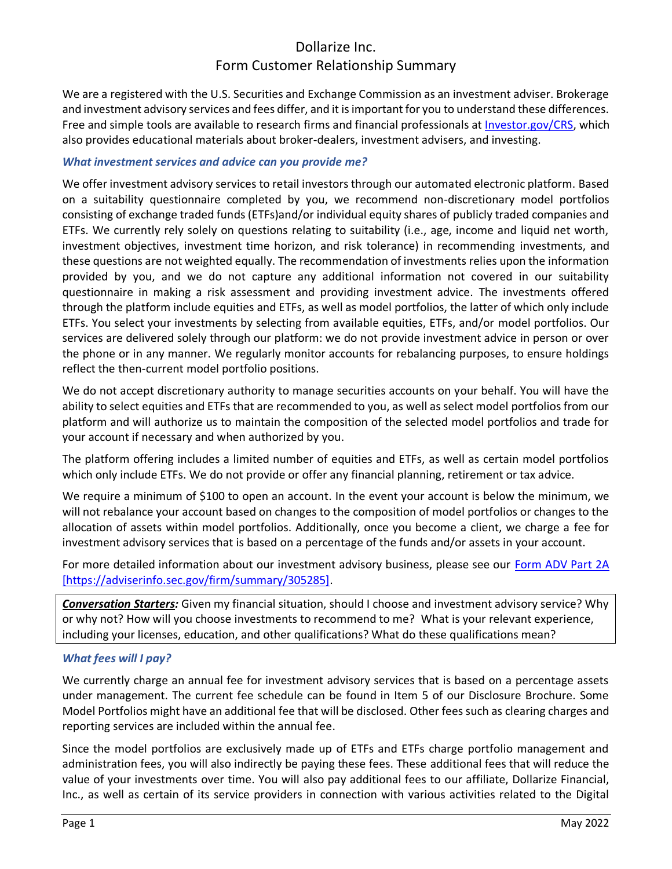# Dollarize Inc. Form Customer Relationship Summary

We are a registered with the U.S. Securities and Exchange Commission as an investment adviser. Brokerage and investment advisory services and fees differ, and it is important for you to understand these differences. Free and simple tools are available to research firms and financial professionals at [Investor.gov/CRS,](https://www.investor.gov/CRS) which also provides educational materials about broker-dealers, investment advisers, and investing.

### *What investment services and advice can you provide me?*

We offer investment advisory services to retail investors through our automated electronic platform. Based on a suitability questionnaire completed by you, we recommend non-discretionary model portfolios consisting of exchange traded funds (ETFs)and/or individual equity shares of publicly traded companies and ETFs. We currently rely solely on questions relating to suitability (i.e., age, income and liquid net worth, investment objectives, investment time horizon, and risk tolerance) in recommending investments, and these questions are not weighted equally. The recommendation of investments relies upon the information provided by you, and we do not capture any additional information not covered in our suitability questionnaire in making a risk assessment and providing investment advice. The investments offered through the platform include equities and ETFs, as well as model portfolios, the latter of which only include ETFs. You select your investments by selecting from available equities, ETFs, and/or model portfolios. Our services are delivered solely through our platform: we do not provide investment advice in person or over the phone or in any manner. We regularly monitor accounts for rebalancing purposes, to ensure holdings reflect the then-current model portfolio positions.

We do not accept discretionary authority to manage securities accounts on your behalf. You will have the ability to select equities and ETFs that are recommended to you, as well as select model portfolios from our platform and will authorize us to maintain the composition of the selected model portfolios and trade for your account if necessary and when authorized by you.

The platform offering includes a limited number of equities and ETFs, as well as certain model portfolios which only include ETFs. We do not provide or offer any financial planning, retirement or tax advice.

We require a minimum of \$100 to open an account. In the event your account is below the minimum, we will not rebalance your account based on changes to the composition of model portfolios or changes to the allocation of assets within model portfolios. Additionally, once you become a client, we charge a fee for investment advisory services that is based on a percentage of the funds and/or assets in your account.

For more detailed information about our investment advisory business, please see our [Form ADV Part 2A](https://adviserinfo.sec.gov/firm/summary/305285) [https://adviserinfo.sec.gov/firm/summary/305285].

*Conversation Starters:* Given my financial situation, should I choose and investment advisory service? Why or why not? How will you choose investments to recommend to me? What is your relevant experience, including your licenses, education, and other qualifications? What do these qualifications mean?

### *What fees will I pay?*

We currently charge an annual fee for investment advisory services that is based on a percentage assets under management. The current fee schedule can be found in Item 5 of our Disclosure Brochure. Some Model Portfolios might have an additional fee that will be disclosed. Other fees such as clearing charges and reporting services are included within the annual fee.

Since the model portfolios are exclusively made up of ETFs and ETFs charge portfolio management and administration fees, you will also indirectly be paying these fees. These additional fees that will reduce the value of your investments over time. You will also pay additional fees to our affiliate, Dollarize Financial, Inc., as well as certain of its service providers in connection with various activities related to the Digital